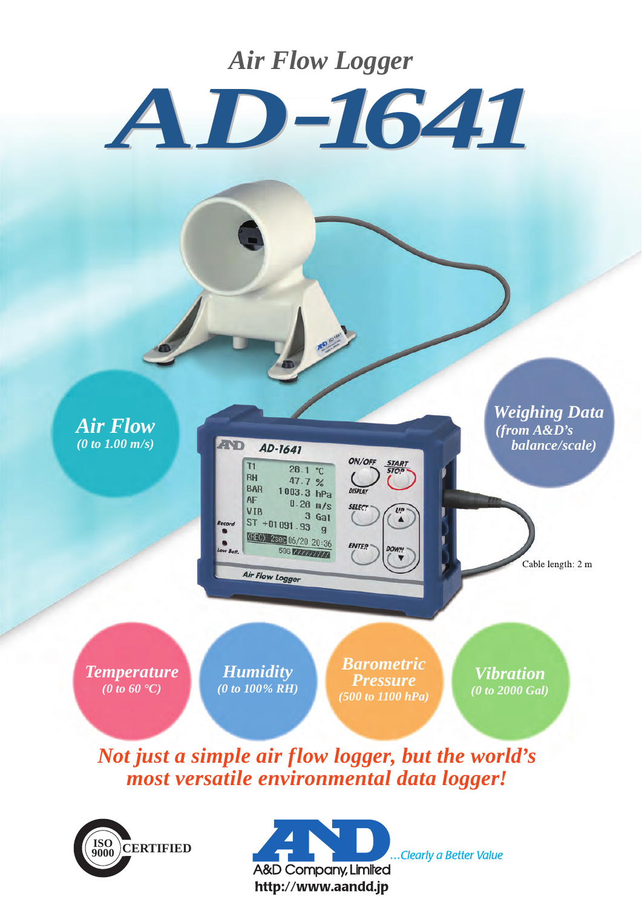## *Air Flow Logger*



*Air Flow (0 to 1.00 m/s)*

**AND** AD-1641  $T1$  $28.1 °C$ **RH** 47.7 % **BAR**  $1003.3$  hPa  $AF$  $0.28 \frac{m}{s}$ VIB  $3<sub>Gal</sub>$  $ST + 01091.93$  g 436 16/20 20:36 **586 WANTANAM** 

Air Flow Logger

*Weighing Data (from A&D's balance/scale)*

Cable length: 2 m

*Temperature (0 to 60 °C)*

*Humidity (0 to 100% RH)*

*Barometric Pressure (500 to 1100 hPa)*

**SELEC?** 

**ENTER** 

 $\overline{u}$ <br> $\triangle$ 

*Vibration (0 to 2000 Gal)*

*Not just a simple air flow logger, but the world's most versatile environmental data logger!*





.Clearly a Better Value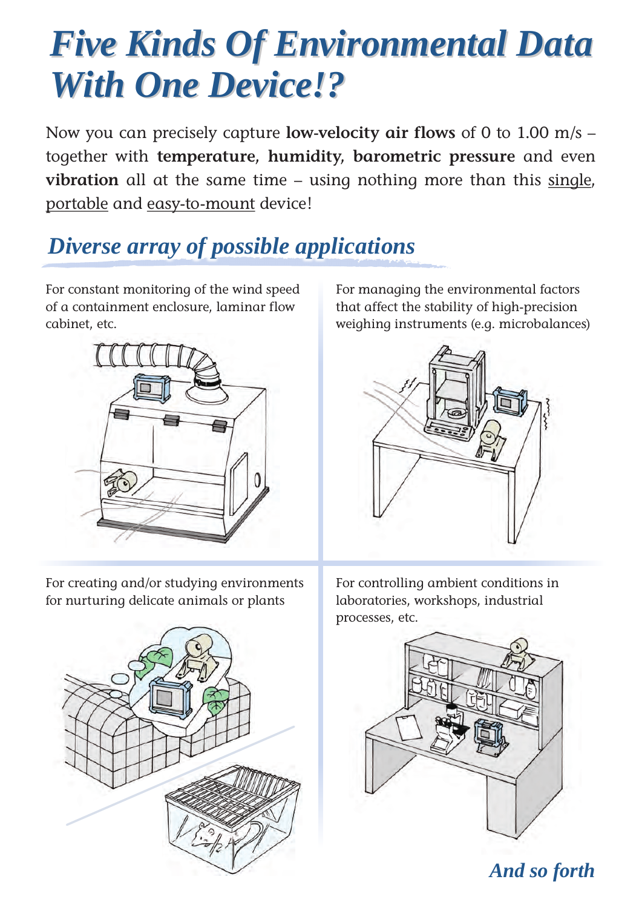# *Five Kinds Of Environmental Data Five Kinds Of Environmental Data With One Device!? With One Device!?*

Now you can precisely capture **low-velocity air flows** of 0 to 1.00 m/s – together with **temperature, humidity, barometric pressure** and even vibration all at the same time – using nothing more than this single, portable and easy-to-mount device!

# *Diverse array of possible applications*

For constant monitoring of the wind speed of a containment enclosure, laminar flow cabinet, etc.



For creating and/or studying environments for nurturing delicate animals or plants



For managing the environmental factors that affect the stability of high-precision weighing instruments (e.g. microbalances)



For controlling ambient conditions in laboratories, workshops, industrial processes, etc.



*And so forth*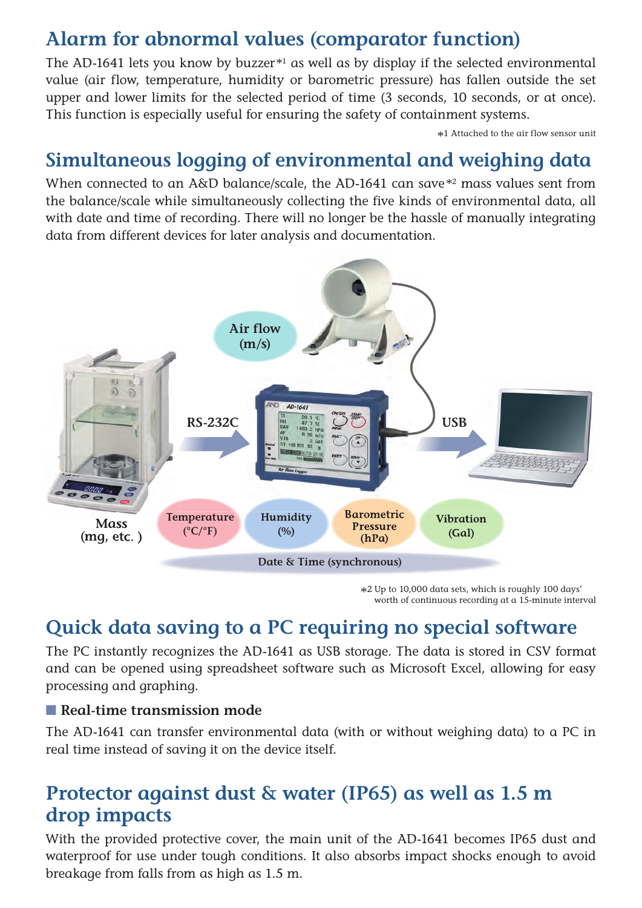### **Alarm for abnormal values (comparator function)**

The AD-1641 lets you know by buzzer $*1$  as well as by display if the selected environmental value (air flow, temperature, humidity or barometric pressure) has fallen outside the set upper and lower limits for the selected period of time (3 seconds, 10 seconds, or at once). This function is especially useful for ensuring the safety of containment systems.

\*<sup>1</sup> Attached to the air flow sensor unit

### **Simultaneous logging of environmental and weighing data**

When connected to an A&D balance/scale, the AD-1641 can save<sup>\*2</sup> mass values sent from the balance/scale while simultaneously collecting the five kinds of environmental data, all with date and time of recording. There will no longer be the hassle of manually integrating data from different devices for later analysis and documentation.



\*<sup>2</sup> Up to 10,000 data sets, which is roughly 100 days' worth of continuous recording at a 15-minute interval

### **Quick data saving to a PC requiring no special software**

The PC instantly recognizes the AD-1641 as USB storage. The data is stored in CSV format and can be opened using spreadsheet software such as Microsoft Excel, allowing for easy processing and graphing.

### ■ **Real-time transmission mode**

The AD-1641 can transfer environmental data (with or without weighing data) to a PC in real time instead of saving it on the device itself.

### **Protector against dust & water (IP65) as well as 1.5 m drop impacts**

With the provided protective cover, the main unit of the AD-1641 becomes IP65 dust and waterproof for use under tough conditions. It also absorbs impact shocks enough to avoid breakage from falls from as high as 1.5 m.